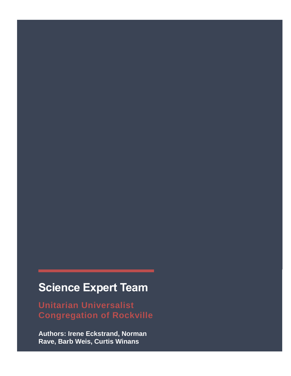# **Science Expert Team**

**Unitarian Universalist Congregation of Rockville**

**Authors: Irene Eckstrand, Norman Rave, Barb Weis, Curtis Winans**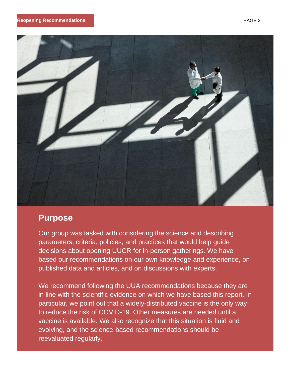

# **Purpose**

Our group was tasked with considering the science and describing parameters, criteria, policies, and practices that would help guide decisions about opening UUCR for in-person gatherings. We have based our recommendations on our own knowledge and experience, on published data and articles, and on discussions with experts.

We recommend following the UUA recommendations because they are in line with the scientific evidence on which we have based this report. In particular, we point out that a widely-distributed vaccine is the only way to reduce the risk of COVID-19. Other measures are needed until a vaccine is available. We also recognize that this situation is fluid and evolving, and the science-based recommendations should be reevaluated regularly.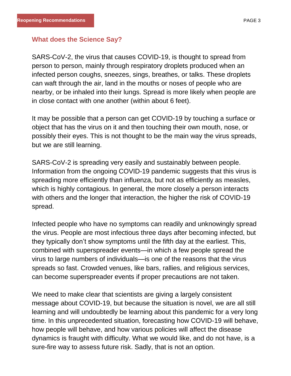# **What does the Science Say?**

SARS-CoV-2, the virus that causes COVID-19, is thought to spread from person to person, mainly through respiratory droplets produced when an infected person coughs, sneezes, sings, breathes, or talks. These droplets can waft through the air, land in the mouths or noses of people who are nearby, or be inhaled into their lungs. Spread is more likely when people are in close contact with one another (within about 6 feet).

It may be possible that a person can get COVID-19 by touching a surface or object that has the virus on it and then touching their own mouth, nose, or possibly their eyes. This is not thought to be the main way the virus spreads, but we are still learning.

SARS-CoV-2 is spreading very easily and sustainably between people. Information from the ongoing COVID-19 pandemic suggests that this virus is spreading more efficiently than influenza, but not as efficiently as measles, which is highly contagious. In general, the more closely a person interacts with others and the longer that interaction, the higher the risk of COVID-19 spread.

Infected people who have no symptoms can readily and unknowingly spread the virus. People are most infectious three days after becoming infected, but they typically don't show symptoms until the fifth day at the earliest. This, combined with superspreader events—in which a few people spread the virus to large numbers of individuals—is one of the reasons that the virus spreads so fast. Crowded venues, like bars, rallies, and religious services, can become superspreader events if proper precautions are not taken.

We need to make clear that scientists are giving a largely consistent message about COVID-19, but because the situation is novel, we are all still learning and will undoubtedly be learning about this pandemic for a very long time. In this unprecedented situation, forecasting how COVID-19 will behave, how people will behave, and how various policies will affect the disease dynamics is fraught with difficulty. What we would like, and do not have, is a sure-fire way to assess future risk. Sadly, that is not an option.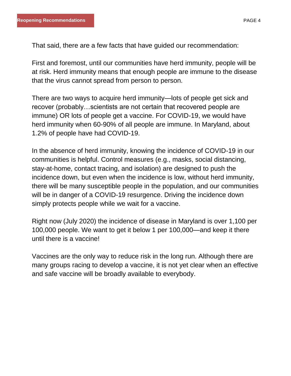That said, there are a few facts that have guided our recommendation:

First and foremost, until our communities have herd immunity, people will be at risk. Herd immunity means that enough people are immune to the disease that the virus cannot spread from person to person.

There are two ways to acquire herd immunity—lots of people get sick and recover (probably…scientists are not certain that recovered people are immune) OR lots of people get a vaccine. For COVID-19, we would have herd immunity when 60-90% of all people are immune. In Maryland, about 1.2% of people have had COVID-19.

In the absence of herd immunity, knowing the incidence of COVID-19 in our communities is helpful. Control measures (e.g., masks, social distancing, stay-at-home, contact tracing, and isolation) are designed to push the incidence down, but even when the incidence is low, without herd immunity, there will be many susceptible people in the population, and our communities will be in danger of a COVID-19 resurgence. Driving the incidence down simply protects people while we wait for a vaccine.

Right now (July 2020) the incidence of disease in Maryland is over 1,100 per 100,000 people. We want to get it below 1 per 100,000—and keep it there until there is a vaccine!

Vaccines are the only way to reduce risk in the long run. Although there are many groups racing to develop a vaccine, it is not yet clear when an effective and safe vaccine will be broadly available to everybody.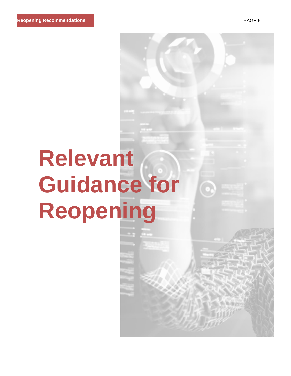# **Relevant Guidance for Reopening**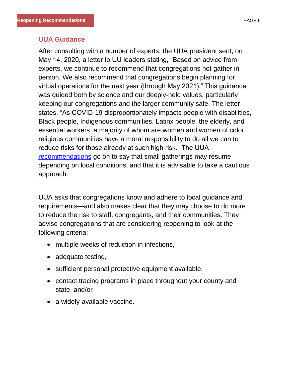#### **UUA Guidance**

After consulting with a number of experts, the UUA president sent, on May 14, 2020, a letter to UU leaders stating, "Based on advice from experts, we continue to recommend that congregations not gather in person. We also recommend that congregations begin planning for virtual operations for the next year (through May 2021)." This guidance was guided both by science and our deeply-held values, particularly keeping our congregations and the larger community safe. The letter states, "As COVID-19 disproportionately impacts people with disabilities, Black people, Indigenous communities, Latinx people, the elderly, and essential workers, a majority of whom are women and women of color, religious communities have a moral responsibility to do all we can to reduce risks for those already at such high risk." The UUA [recommendations](https://www.uua.org/safe/pandemics/gathering-guidance) go on to say that small gatherings may resume depending on local conditions, and that it is advisable to take a cautious approach.

UUA asks that congregations know and adhere to local guidance and requirements—and also makes clear that they may choose to do more to reduce the risk to staff, congregants, and their communities. They advise congregations that are considering reopening to look at the following criteria:

- multiple weeks of reduction in infections,
- adequate testing,
- sufficient personal protective equipment available,
- contact tracing programs in place throughout your county and state, and/or
- a widely-available vaccine.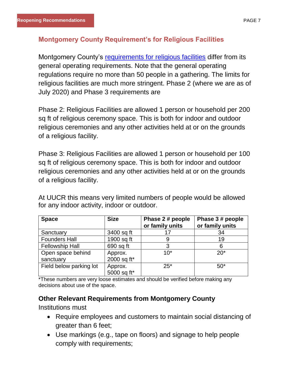# **Montgomery County Requirement's for Religious Facilities**

Montgomery County's [requirements for religious facilities](https://www.montgomerycountymd.gov/covid19/reopening/requirements/religious-facilities.html) differ from its general operating requirements. Note that the general operating regulations require no more than 50 people in a gathering. The limits for religious facilities are much more stringent. Phase 2 (where we are as of July 2020) and Phase 3 requirements are

Phase 2: Religious Facilities are allowed 1 person or household per 200 sq ft of religious ceremony space. This is both for indoor and outdoor religious ceremonies and any other activities held at or on the grounds of a religious facility.

Phase 3: Religious Facilities are allowed 1 person or household per 100 sq ft of religious ceremony space. This is both for indoor and outdoor religious ceremonies and any other activities held at or on the grounds of a religious facility.

At UUCR this means very limited numbers of people would be allowed for any indoor activity, indoor or outdoor.

| <b>Space</b>            | <b>Size</b>            | Phase 2 # people<br>or family units | Phase 3 # people<br>or family units |
|-------------------------|------------------------|-------------------------------------|-------------------------------------|
| Sanctuary               | 3400 sq ft             | 17                                  | 34                                  |
| <b>Founders Hall</b>    | 1900 sq ft             | 9                                   | 19                                  |
| <b>Fellowship Hall</b>  | 690 sq ft              | 3                                   | 6                                   |
| Open space behind       | Approx.                | $10*$                               | $20*$                               |
| sanctuary               | 2000 sq ft*            |                                     |                                     |
| Field below parking lot | Approx.<br>5000 sq ft* | $25*$                               | $50*$                               |

\*These numbers are very loose estimates and should be verified before making any decisions about use of the space.

# **Other Relevant Requirements from Montgomery County**

Institutions must

- Require employees and customers to maintain social distancing of greater than 6 feet;
- Use markings (e.g., tape on floors) and signage to help people comply with requirements;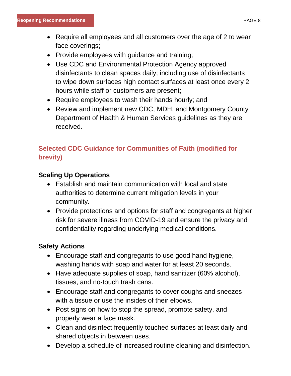- Require all employees and all customers over the age of 2 to wear face coverings;
- Provide employees with guidance and training;
- Use CDC and Environmental Protection Agency approved disinfectants to clean spaces daily; including use of disinfectants to wipe down surfaces high contact surfaces at least once every 2 hours while staff or customers are present;
- Require employees to wash their hands hourly; and
- Review and implement new CDC, MDH, and Montgomery County Department of Health & Human Services guidelines as they are received.

# **Selected CDC Guidance for Communities of Faith (modified for brevity)**

# **Scaling Up Operations**

- Establish and maintain communication with local and state authorities to determine current mitigation levels in your community.
- Provide protections and options for staff and congregants at higher risk for severe illness from COVID-19 and ensure the privacy and confidentiality regarding underlying medical conditions.

# **Safety Actions**

- Encourage staff and congregants to use good hand hygiene, washing hands with soap and water for at least 20 seconds.
- Have adequate supplies of soap, hand sanitizer (60% alcohol), tissues, and no-touch trash cans.
- Encourage staff and congregants to cover coughs and sneezes with a tissue or use the insides of their elbows.
- Post signs on how to stop the spread, promote safety, and properly wear a face mask.
- Clean and disinfect frequently touched surfaces at least daily and shared objects in between uses.
- Develop a schedule of increased routine cleaning and disinfection.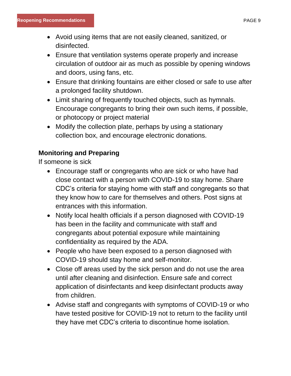- Avoid using items that are not easily cleaned, sanitized, or disinfected.
- Ensure that ventilation systems operate properly and increase circulation of outdoor air as much as possible by opening windows and doors, using fans, etc.
- Ensure that drinking fountains are either closed or safe to use after a prolonged facility shutdown.
- Limit sharing of frequently touched objects, such as hymnals. Encourage congregants to bring their own such items, if possible, or photocopy or project material
- Modify the collection plate, perhaps by using a stationary collection box, and encourage electronic donations.

# **Monitoring and Preparing**

If someone is sick

- Encourage staff or congregants who are sick or who have had close contact with a person with COVID-19 to stay home. Share CDC's criteria for staying home with staff and congregants so that they know how to care for themselves and others. Post signs at entrances with this information.
- Notify local health officials if a person diagnosed with COVID-19 has been in the facility and communicate with staff and congregants about potential exposure while maintaining confidentiality as required by the ADA.
- People who have been exposed to a person diagnosed with COVID-19 should stay home and self-monitor.
- Close off areas used by the sick person and do not use the area until after cleaning and disinfection. Ensure safe and correct application of disinfectants and keep disinfectant products away from children.
- Advise staff and congregants with symptoms of COVID-19 or who have tested positive for COVID-19 not to return to the facility until they have met CDC's criteria to discontinue home isolation.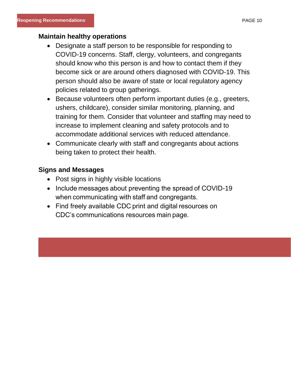#### **Maintain healthy operations**

- Designate a staff person to be responsible for responding to COVID-19 concerns. Staff, clergy, volunteers, and congregants should know who this person is and how to contact them if they become sick or are around others diagnosed with COVID-19. This person should also be aware of state or local regulatory agency policies related to group gatherings.
- Because volunteers often perform important duties (e.g., greeters, ushers, childcare), consider similar monitoring, planning, and training for them. Consider that volunteer and staffing may need to increase to implement cleaning and safety protocols and to accommodate additional services with reduced attendance.
- Communicate clearly with staff and congregants about actions being taken to protect their health.

# **Signs and Messages**

- Post signs in highly visible locations
- Include messages about preventing the spread of COVID-19 when communicating with staff and congregants.
- Find freely available CDC print and digital resources on CDC's communications resources main page.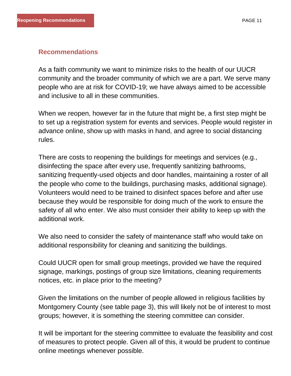# **Recommendations**

As a faith community we want to minimize risks to the health of our UUCR community and the broader community of which we are a part. We serve many people who are at risk for COVID-19; we have always aimed to be accessible and inclusive to all in these communities.

When we reopen, however far in the future that might be, a first step might be to set up a registration system for events and services. People would register in advance online, show up with masks in hand, and agree to social distancing rules.

There are costs to reopening the buildings for meetings and services (e.g., disinfecting the space after every use, frequently sanitizing bathrooms, sanitizing frequently-used objects and door handles, maintaining a roster of all the people who come to the buildings, purchasing masks, additional signage). Volunteers would need to be trained to disinfect spaces before and after use because they would be responsible for doing much of the work to ensure the safety of all who enter. We also must consider their ability to keep up with the additional work.

We also need to consider the safety of maintenance staff who would take on additional responsibility for cleaning and sanitizing the buildings.

Could UUCR open for small group meetings, provided we have the required signage, markings, postings of group size limitations, cleaning requirements notices, etc. in place prior to the meeting?

Given the limitations on the number of people allowed in religious facilities by Montgomery County (see table page 3), this will likely not be of interest to most groups; however, it is something the steering committee can consider.

It will be important for the steering committee to evaluate the feasibility and cost of measures to protect people. Given all of this, it would be prudent to continue online meetings whenever possible.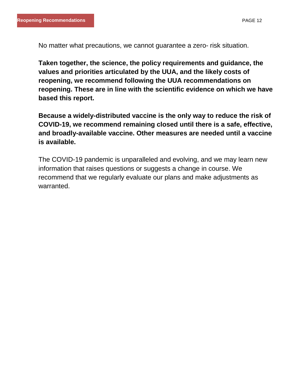No matter what precautions, we cannot guarantee a zero- risk situation.

**Taken together, the science, the policy requirements and guidance, the values and priorities articulated by the UUA, and the likely costs of reopening, we recommend following the UUA recommendations on reopening. These are in line with the scientific evidence on which we have based this report.** 

**Because a widely-distributed vaccine is the only way to reduce the risk of COVID-19, we recommend remaining closed until there is a safe, effective, and broadly-available vaccine. Other measures are needed until a vaccine is available.** 

The COVID-19 pandemic is unparalleled and evolving, and we may learn new information that raises questions or suggests a change in course. We recommend that we regularly evaluate our plans and make adjustments as warranted.